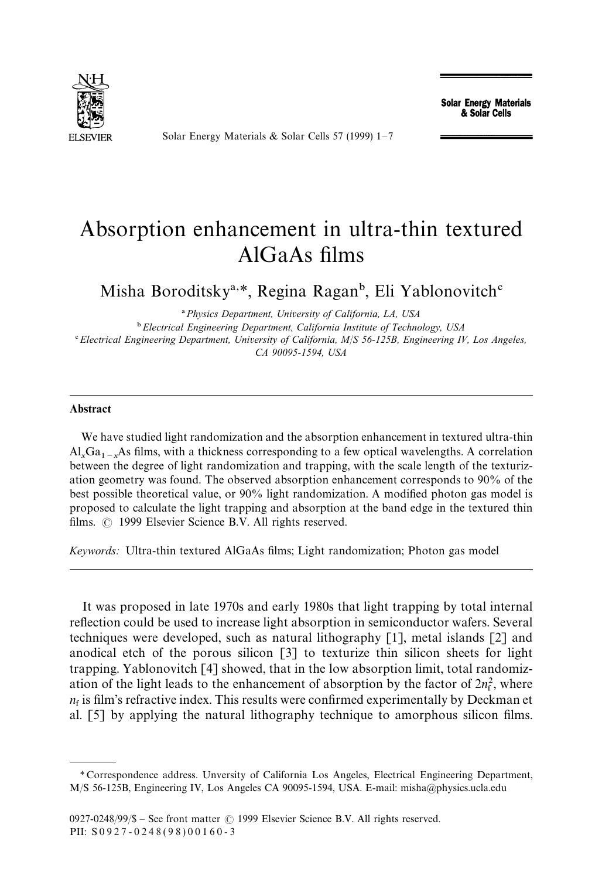

Solar Energy Materials & Solar Cells 57 (1999) 1*—*7

**Solar Energy Materials** & Solar Cells

## Absorption enhancement in ultra-thin textured AlGaAs films

Misha Boroditsky<sup>a,\*</sup>, Regina Ragan<sup>b</sup>, Eli Yablonovitch<sup>c</sup>

! *Physics Department, University of California, LA, USA* " *Electrical Engineering Department, California Institute of Technology, USA* # *Electrical Engineering Department, University of California, M*/*S 56-125B, Engineering IV, Los Angeles, CA 90095-1594, USA*

## Abstract

We have studied light randomization and the absorption enhancement in textured ultra-thin  $Al_xGa_{1-x}As$  films, with a thickness corresponding to a few optical wavelengths. A correlation between the degree of light randomization and trapping, with the scale length of the texturization geometry was found. The observed absorption enhancement corresponds to 90% of the best possible theoretical value, or 90% light randomization. A modified photon gas model is proposed to calculate the light trapping and absorption at the band edge in the textured thin films.  $\odot$  1999 Elsevier Science B.V. All rights reserved.

*Keywords:* Ultra-thin textured AlGaAs films; Light randomization; Photon gas model

It was proposed in late 1970s and early 1980s that light trapping by total internal reflection could be used to increase light absorption in semiconductor wafers. Several techniques were developed, such as natural lithography [1], metal islands [2] and anodical etch of the porous silicon [3] to texturize thin silicon sheets for light trapping. Yablonovitch [4] showed, that in the low absorption limit, total randomization of the light leads to the enhancement of absorption by the factor of  $2n_f^2$ , where  $n_f$  is film's refractive index. This results were confirmed experimentally by Deckman et al. [5] by applying the natural lithography technique to amorphous silicon films.

*<sup>\*</sup>* Correspondence address. Unversity of California Los Angeles, Electrical Engineering Department, M/S 56-125B, Engineering IV, Los Angeles CA 90095-1594, USA. E-mail: misha@physics.ucla.edu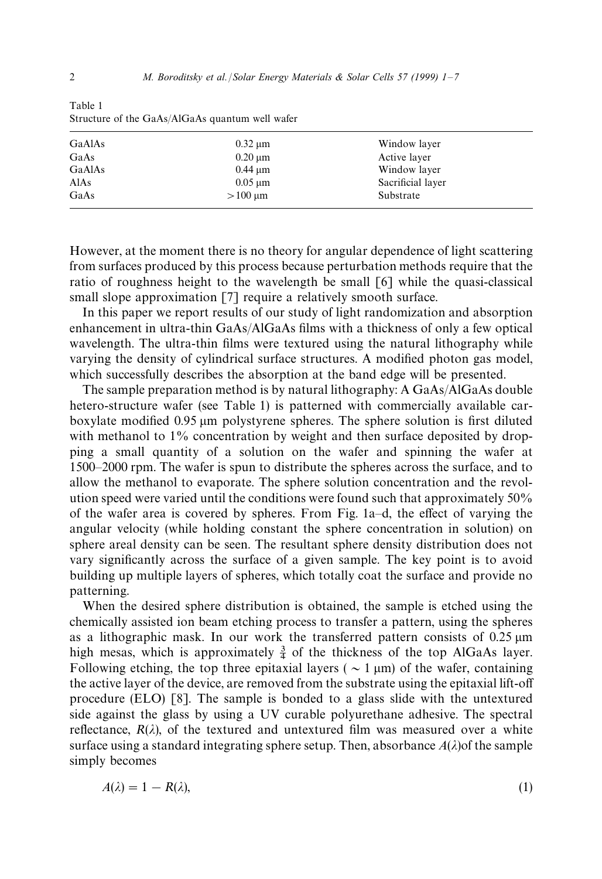| GaAlAs | $0.32 \mu m$ | Window layer      |  |
|--------|--------------|-------------------|--|
| GaAs   | $0.20 \mu m$ | Active layer      |  |
| GaAlAs | $0.44 \mu m$ | Window layer      |  |
| AlAs   | $0.05 \mu m$ | Sacrificial layer |  |
| GaAs   | $>100 \mu m$ | Substrate         |  |
|        |              |                   |  |

Table 1 Structure of the GaAs/AlGaAs quantum well wafer

However, at the moment there is no theory for angular dependence of light scattering from surfaces produced by this process because perturbation methods require that the ratio of roughness height to the wavelength be small [6] while the quasi-classical small slope approximation [7] require a relatively smooth surface.

In this paper we report results of our study of light randomization and absorption enhancement in ultra-thin GaAs/AlGaAs films with a thickness of only a few optical wavelength. The ultra-thin films were textured using the natural lithography while varying the density of cylindrical surface structures. A modified photon gas model, which successfully describes the absorption at the band edge will be presented.

The sample preparation method is by natural lithography: A GaAs/AlGaAs double hetero-structure wafer (see Table 1) is patterned with commercially available carboxylate modified 0.95 µm polystyrene spheres. The sphere solution is first diluted with methanol to  $1\%$  concentration by weight and then surface deposited by dropping a small quantity of a solution on the wafer and spinning the wafer at 1500*—*2000 rpm. The wafer is spun to distribute the spheres across the surface, and to allow the methanol to evaporate. The sphere solution concentration and the revolution speed were varied until the conditions were found such that approximately 50% of the wafer area is covered by spheres. From Fig. 1a*—*d, the effect of varying the angular velocity (while holding constant the sphere concentration in solution) on sphere areal density can be seen. The resultant sphere density distribution does not vary significantly across the surface of a given sample. The key point is to avoid building up multiple layers of spheres, which totally coat the surface and provide no patterning.

When the desired sphere distribution is obtained, the sample is etched using the chemically assisted ion beam etching process to transfer a pattern, using the spheres as a lithographic mask. In our work the transferred pattern consists of  $0.25 \mu m$ high mesas, which is approximately  $\frac{3}{4}$  of the thickness of the top AlGaAs layer. Following etching, the top three epitaxial layers ( $\sim 1 \,\mu m$ ) of the wafer, containing the active layer of the device, are removed from the substrate using the epitaxial lift-off procedure (ELO) [8]. The sample is bonded to a glass slide with the untextured side against the glass by using a UV curable polyurethane adhesive. The spectral reflectance,  $R(\lambda)$ , of the textured and untextured film was measured over a white surface using a standard integrating sphere setup. Then, absorbance  $A(\lambda)$  of the sample simply becomes

$$
A(\lambda) = 1 - R(\lambda),\tag{1}
$$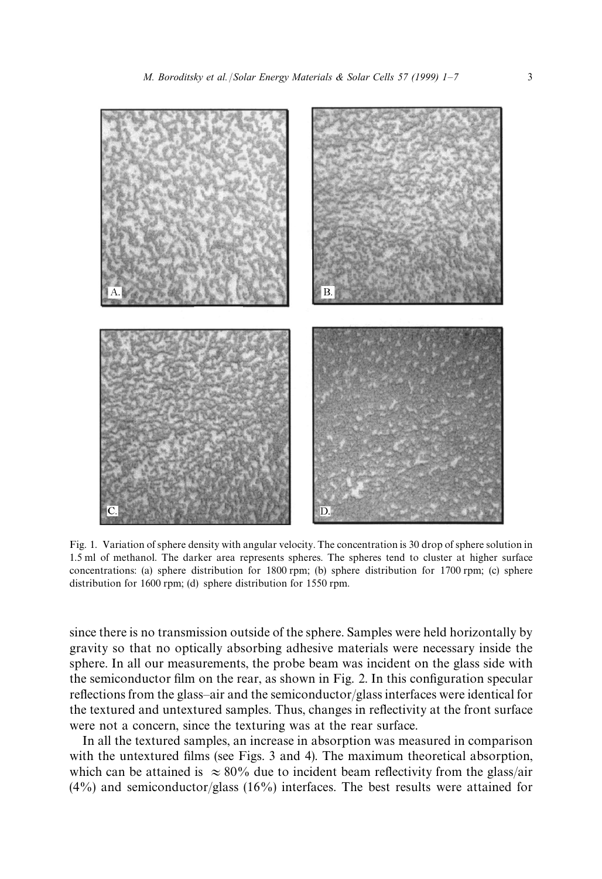

Fig. 1. Variation of sphere density with angular velocity. The concentration is 30 drop of sphere solution in 1.5 ml of methanol. The darker area represents spheres. The spheres tend to cluster at higher surface concentrations: (a) sphere distribution for 1800 rpm; (b) sphere distribution for 1700 rpm; (c) sphere distribution for 1600 rpm; (d) sphere distribution for 1550 rpm.

since there is no transmission outside of the sphere. Samples were held horizontally by gravity so that no optically absorbing adhesive materials were necessary inside the sphere. In all our measurements, the probe beam was incident on the glass side with the semiconductor film on the rear, as shown in Fig. 2. In this configuration specular reflections from the glass*—*air and the semiconductor/glass interfaces were identical for the textured and untextured samples. Thus, changes in reflectivity at the front surface were not a concern, since the texturing was at the rear surface.

In all the textured samples, an increase in absorption was measured in comparison with the untextured films (see Figs. 3 and 4). The maximum theoretical absorption, which can be attained is  $\approx 80\%$  due to incident beam reflectivity from the glass/air  $(4\%)$  and semiconductor/glass  $(16\%)$  interfaces. The best results were attained for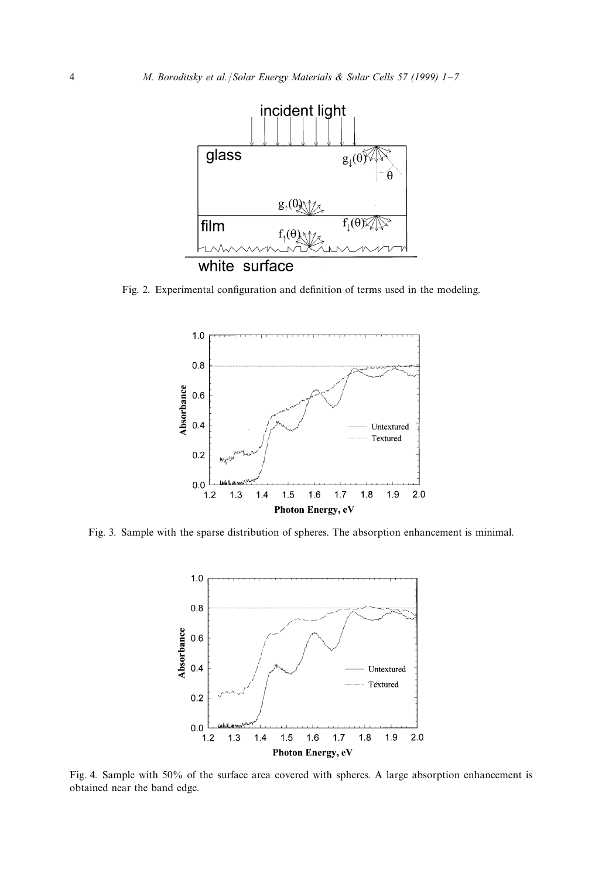

Fig. 2. Experimental configuration and definition of terms used in the modeling.



Fig. 3. Sample with the sparse distribution of spheres. The absorption enhancement is minimal.



Fig. 4. Sample with 50% of the surface area covered with spheres. A large absorption enhancement is obtained near the band edge.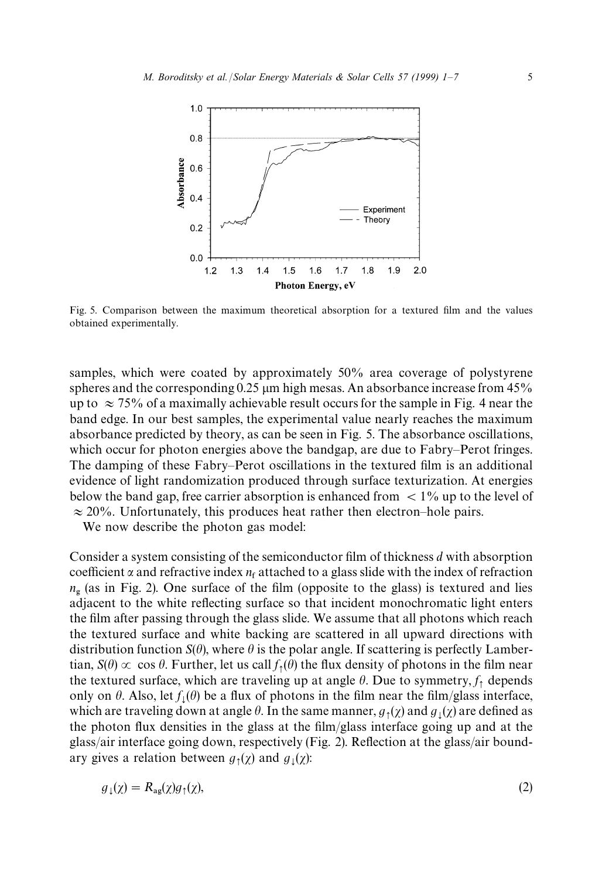

Fig. 5. Comparison between the maximum theoretical absorption for a textured film and the values obtained experimentally.

samples, which were coated by approximately 50% area coverage of polystyrene spheres and the corresponding  $0.25 \mu m$  high mesas. An absorbance increase from 45% up to  $\approx$  75% of a maximally achievable result occurs for the sample in Fig. 4 near the band edge. In our best samples, the experimental value nearly reaches the maximum absorbance predicted by theory, as can be seen in Fig. 5. The absorbance oscillations, which occur for photon energies above the bandgap, are due to Fabry*—*Perot fringes. The damping of these Fabry*—*Perot oscillations in the textured film is an additional evidence of light randomization produced through surface texturization. At energies below the band gap, free carrier absorption is enhanced from  $\langle 1\%$  up to the level of  $\approx$  20%. Unfortunately, this produces heat rather then electron–hole pairs.

We now describe the photon gas model:

Consider a system consisting of the semiconductor film of thickness *d* with absorption coefficient  $\alpha$  and refractive index  $n_f$  attached to a glass slide with the index of refraction *n*<sub>g</sub> (as in Fig. 2). One surface of the film (opposite to the glass) is textured and lies adjacent to the white reflecting surface so that incident monochromatic light enters the film after passing through the glass slide. We assume that all photons which reach the textured surface and white backing are scattered in all upward directions with distribution function  $S(\theta)$ , where  $\theta$  is the polar angle. If scattering is perfectly Lambertian,  $S(\theta) \propto \cos \theta$ . Further, let us call  $f_1(\theta)$  the flux density of photons in the film near the textured surface, which are traveling up at angle  $\theta$ . Due to symmetry,  $f_1$  depends only on  $\theta$ . Also, let  $f_{\downarrow}(\theta)$  be a flux of photons in the film near the film/glass interface, which are traveling down at angle  $\theta$ . In the same manner,  $g_1(\chi)$  and  $g_1(\chi)$  are defined as the photon flux densities in the glass at the film/glass interface going up and at the glass/air interface going down, respectively (Fig. 2). Reflection at the glass/air boundary gives a relation between  $g_1(\chi)$  and  $g_1(\chi)$ :

$$
g_{\downarrow}(\chi) = R_{\text{ag}}(\chi)g_{\uparrow}(\chi),\tag{2}
$$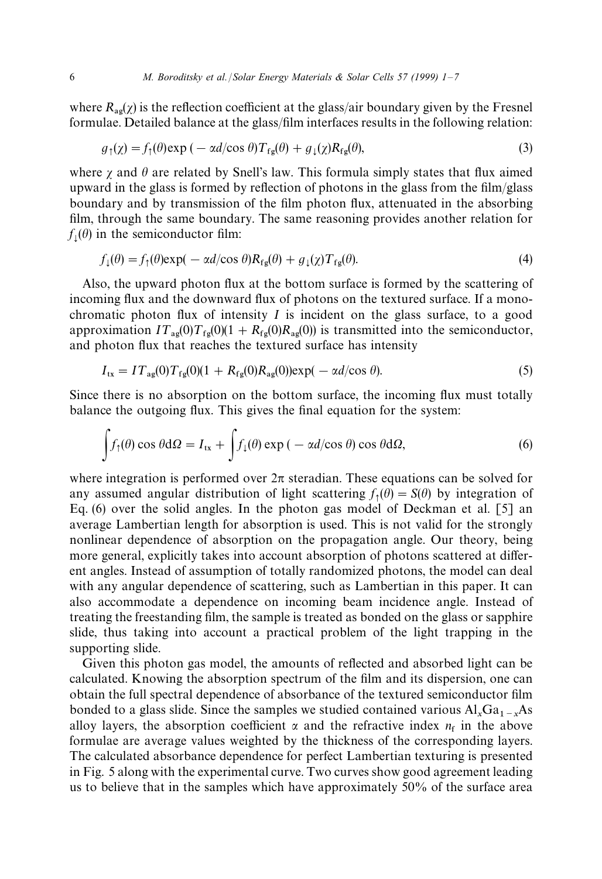where  $R_{\text{av}}(\chi)$  is the reflection coefficient at the glass/air boundary given by the Fresnel formulae. Detailed balance at the glass/film interfaces results in the following relation:

$$
g_{\uparrow}(\chi) = f_{\uparrow}(\theta) \exp\left(-\alpha d/\cos\theta\right) T_{\text{fg}}(\theta) + g_{\downarrow}(\chi) R_{\text{fg}}(\theta),\tag{3}
$$

where  $\gamma$  and  $\theta$  are related by Snell's law. This formula simply states that flux aimed upward in the glass is formed by reflection of photons in the glass from the film/glass boundary and by transmission of the film photon flux, attenuated in the absorbing film, through the same boundary. The same reasoning provides another relation for  $f_{\downarrow}(\theta)$  in the semiconductor film:

$$
f_{\downarrow}(\theta) = f_{\uparrow}(\theta) \exp(-\alpha d/\cos \theta) R_{fg}(\theta) + g_{\downarrow}(\chi) T_{fg}(\theta). \tag{4}
$$

Also, the upward photon flux at the bottom surface is formed by the scattering of incoming flux and the downward flux of photons on the textured surface. If a monochromatic photon flux of intensity *I* is incident on the glass surface, to a good approximation  $IT_{\text{ag}}(0)T_{\text{fg}}(0)(1 + R_{\text{fg}}(0)R_{\text{ag}}(0))$  is transmitted into the semiconductor, and photon flux that reaches the textured surface has intensity

$$
I_{\rm tx} = I T_{\rm ag}(0) T_{\rm fg}(0) (1 + R_{\rm fg}(0) R_{\rm ag}(0)) \exp(-\alpha d/\cos \theta). \tag{5}
$$

Since there is no absorption on the bottom surface, the incoming flux must totally balance the outgoing flux. This gives the final equation for the system:

$$
\int f_{\uparrow}(\theta) \cos \theta \, d\Omega = I_{\text{tx}} + \int f_{\downarrow}(\theta) \exp \left( - \alpha d / \cos \theta \right) \cos \theta \, d\Omega, \tag{6}
$$

where integration is performed over  $2\pi$  steradian. These equations can be solved for any assumed angular distribution of light scattering  $f_1(\theta) = S(\theta)$  by integration of Eq. (6) over the solid angles. In the photon gas model of Deckman et al. [5] an average Lambertian length for absorption is used. This is not valid for the strongly nonlinear dependence of absorption on the propagation angle. Our theory, being more general, explicitly takes into account absorption of photons scattered at different angles. Instead of assumption of totally randomized photons, the model can deal with any angular dependence of scattering, such as Lambertian in this paper. It can also accommodate a dependence on incoming beam incidence angle. Instead of treating the freestanding film, the sample is treated as bonded on the glass or sapphire slide, thus taking into account a practical problem of the light trapping in the supporting slide.

Given this photon gas model, the amounts of reflected and absorbed light can be calculated. Knowing the absorption spectrum of the film and its dispersion, one can obtain the full spectral dependence of absorbance of the textured semiconductor film bonded to a glass slide. Since the samples we studied contained various  $Al_xGa_{1-x}As$ alloy layers, the absorption coefficient  $\alpha$  and the refractive index  $n_f$  in the above formulae are average values weighted by the thickness of the corresponding layers. The calculated absorbance dependence for perfect Lambertian texturing is presented in Fig. 5 along with the experimental curve. Two curves show good agreement leading us to believe that in the samples which have approximately 50% of the surface area